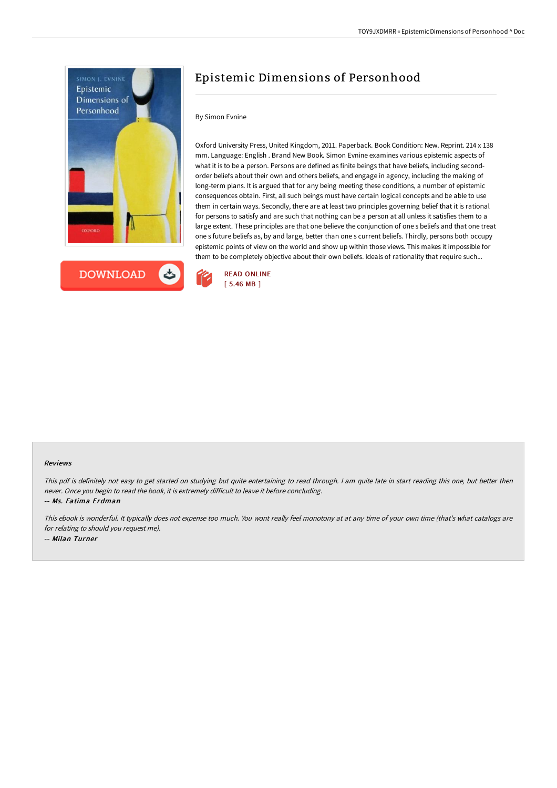



# Epistemic Dimensions of Personhood

### By Simon Evnine

Oxford University Press, United Kingdom, 2011. Paperback. Book Condition: New. Reprint. 214 x 138 mm. Language: English . Brand New Book. Simon Evnine examines various epistemic aspects of what it is to be a person. Persons are defined as finite beings that have beliefs, including secondorder beliefs about their own and others beliefs, and engage in agency, including the making of long-term plans. It is argued that for any being meeting these conditions, a number of epistemic consequences obtain. First, all such beings must have certain logical concepts and be able to use them in certain ways. Secondly, there are at least two principles governing belief that it is rational for persons to satisfy and are such that nothing can be a person at all unless it satisfies them to a large extent. These principles are that one believe the conjunction of one s beliefs and that one treat one s future beliefs as, by and large, better than one s current beliefs. Thirdly, persons both occupy epistemic points of view on the world and show up within those views. This makes it impossible for them to be completely objective about their own beliefs. Ideals of rationality that require such...



#### Reviews

This pdf is definitely not easy to get started on studying but quite entertaining to read through. <sup>I</sup> am quite late in start reading this one, but better then never. Once you begin to read the book, it is extremely difficult to leave it before concluding. -- Ms. Fatima Erdman

This ebook is wonderful. It typically does not expense too much. You wont really feel monotony at at any time of your own time (that's what catalogs are for relating to should you request me). -- Milan Turner